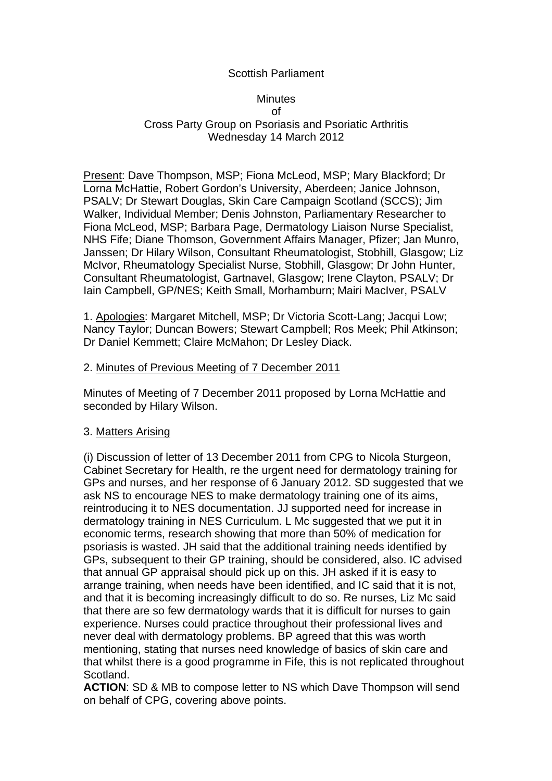# Scottish Parliament

### **Minutes** of Cross Party Group on Psoriasis and Psoriatic Arthritis Wednesday 14 March 2012

Present: Dave Thompson, MSP; Fiona McLeod, MSP; Mary Blackford; Dr Lorna McHattie, Robert Gordon's University, Aberdeen; Janice Johnson, PSALV; Dr Stewart Douglas, Skin Care Campaign Scotland (SCCS); Jim Walker, Individual Member; Denis Johnston, Parliamentary Researcher to Fiona McLeod, MSP; Barbara Page, Dermatology Liaison Nurse Specialist, NHS Fife; Diane Thomson, Government Affairs Manager, Pfizer; Jan Munro, Janssen; Dr Hilary Wilson, Consultant Rheumatologist, Stobhill, Glasgow; Liz McIvor, Rheumatology Specialist Nurse, Stobhill, Glasgow; Dr John Hunter, Consultant Rheumatologist, Gartnavel, Glasgow; Irene Clayton, PSALV; Dr Iain Campbell, GP/NES; Keith Small, Morhamburn; Mairi MacIver, PSALV

1. Apologies: Margaret Mitchell, MSP; Dr Victoria Scott-Lang; Jacqui Low; Nancy Taylor; Duncan Bowers; Stewart Campbell; Ros Meek; Phil Atkinson; Dr Daniel Kemmett; Claire McMahon; Dr Lesley Diack.

### 2. Minutes of Previous Meeting of 7 December 2011

Minutes of Meeting of 7 December 2011 proposed by Lorna McHattie and seconded by Hilary Wilson.

## 3. Matters Arising

(i) Discussion of letter of 13 December 2011 from CPG to Nicola Sturgeon, Cabinet Secretary for Health, re the urgent need for dermatology training for GPs and nurses, and her response of 6 January 2012. SD suggested that we ask NS to encourage NES to make dermatology training one of its aims, reintroducing it to NES documentation. JJ supported need for increase in dermatology training in NES Curriculum. L Mc suggested that we put it in economic terms, research showing that more than 50% of medication for psoriasis is wasted. JH said that the additional training needs identified by GPs, subsequent to their GP training, should be considered, also. IC advised that annual GP appraisal should pick up on this. JH asked if it is easy to arrange training, when needs have been identified, and IC said that it is not, and that it is becoming increasingly difficult to do so. Re nurses, Liz Mc said that there are so few dermatology wards that it is difficult for nurses to gain experience. Nurses could practice throughout their professional lives and never deal with dermatology problems. BP agreed that this was worth mentioning, stating that nurses need knowledge of basics of skin care and that whilst there is a good programme in Fife, this is not replicated throughout Scotland.

**ACTION**: SD & MB to compose letter to NS which Dave Thompson will send on behalf of CPG, covering above points.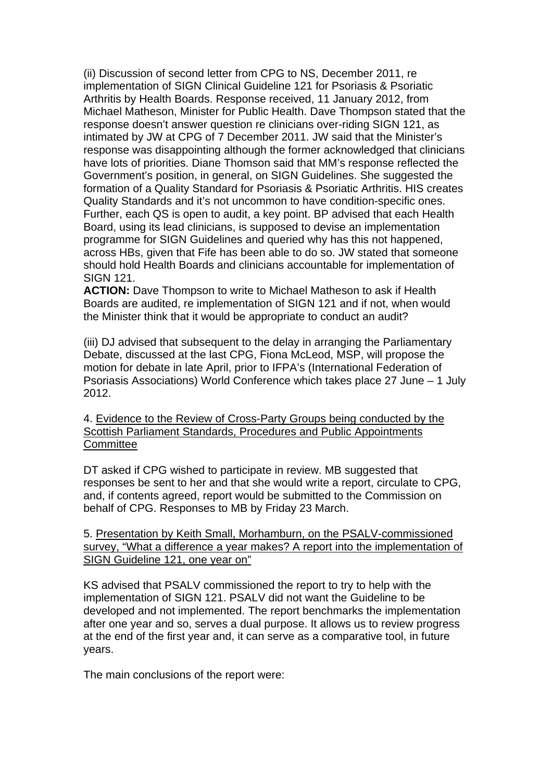(ii) Discussion of second letter from CPG to NS, December 2011, re implementation of SIGN Clinical Guideline 121 for Psoriasis & Psoriatic Arthritis by Health Boards. Response received, 11 January 2012, from Michael Matheson, Minister for Public Health. Dave Thompson stated that the response doesn't answer question re clinicians over-riding SIGN 121, as intimated by JW at CPG of 7 December 2011. JW said that the Minister's response was disappointing although the former acknowledged that clinicians have lots of priorities. Diane Thomson said that MM's response reflected the Government's position, in general, on SIGN Guidelines. She suggested the formation of a Quality Standard for Psoriasis & Psoriatic Arthritis. HIS creates Quality Standards and it's not uncommon to have condition-specific ones. Further, each QS is open to audit, a key point. BP advised that each Health Board, using its lead clinicians, is supposed to devise an implementation programme for SIGN Guidelines and queried why has this not happened, across HBs, given that Fife has been able to do so. JW stated that someone should hold Health Boards and clinicians accountable for implementation of SIGN 121.

**ACTION:** Dave Thompson to write to Michael Matheson to ask if Health Boards are audited, re implementation of SIGN 121 and if not, when would the Minister think that it would be appropriate to conduct an audit?

(iii) DJ advised that subsequent to the delay in arranging the Parliamentary Debate, discussed at the last CPG, Fiona McLeod, MSP, will propose the motion for debate in late April, prior to IFPA's (International Federation of Psoriasis Associations) World Conference which takes place 27 June – 1 July 2012.

4. Evidence to the Review of Cross-Party Groups being conducted by the Scottish Parliament Standards, Procedures and Public Appointments **Committee** 

DT asked if CPG wished to participate in review. MB suggested that responses be sent to her and that she would write a report, circulate to CPG, and, if contents agreed, report would be submitted to the Commission on behalf of CPG. Responses to MB by Friday 23 March.

5. Presentation by Keith Small, Morhamburn, on the PSALV-commissioned survey, "What a difference a year makes? A report into the implementation of SIGN Guideline 121, one year on"

KS advised that PSALV commissioned the report to try to help with the implementation of SIGN 121. PSALV did not want the Guideline to be developed and not implemented. The report benchmarks the implementation after one year and so, serves a dual purpose. It allows us to review progress at the end of the first year and, it can serve as a comparative tool, in future years.

The main conclusions of the report were: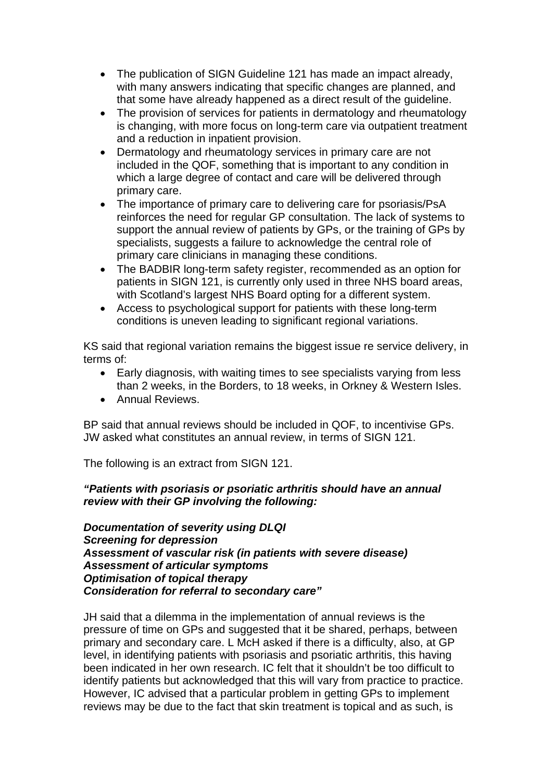- The publication of SIGN Guideline 121 has made an impact already, with many answers indicating that specific changes are planned, and that some have already happened as a direct result of the guideline.
- The provision of services for patients in dermatology and rheumatology is changing, with more focus on long-term care via outpatient treatment and a reduction in inpatient provision.
- Dermatology and rheumatology services in primary care are not included in the QOF, something that is important to any condition in which a large degree of contact and care will be delivered through primary care.
- The importance of primary care to delivering care for psoriasis/PsA reinforces the need for regular GP consultation. The lack of systems to support the annual review of patients by GPs, or the training of GPs by specialists, suggests a failure to acknowledge the central role of primary care clinicians in managing these conditions.
- The BADBIR long-term safety register, recommended as an option for patients in SIGN 121, is currently only used in three NHS board areas, with Scotland's largest NHS Board opting for a different system.
- Access to psychological support for patients with these long-term conditions is uneven leading to significant regional variations.

KS said that regional variation remains the biggest issue re service delivery, in terms of:

- Early diagnosis, with waiting times to see specialists varying from less than 2 weeks, in the Borders, to 18 weeks, in Orkney & Western Isles.
- Annual Reviews.

BP said that annual reviews should be included in QOF, to incentivise GPs. JW asked what constitutes an annual review, in terms of SIGN 121.

The following is an extract from SIGN 121.

# *"Patients with psoriasis or psoriatic arthritis should have an annual review with their GP involving the following:*

*Documentation of severity using DLQI Screening for depression Assessment of vascular risk (in patients with severe disease) Assessment of articular symptoms Optimisation of topical therapy Consideration for referral to secondary care"* 

JH said that a dilemma in the implementation of annual reviews is the pressure of time on GPs and suggested that it be shared, perhaps, between primary and secondary care. L McH asked if there is a difficulty, also, at GP level, in identifying patients with psoriasis and psoriatic arthritis, this having been indicated in her own research. IC felt that it shouldn't be too difficult to identify patients but acknowledged that this will vary from practice to practice. However, IC advised that a particular problem in getting GPs to implement reviews may be due to the fact that skin treatment is topical and as such, is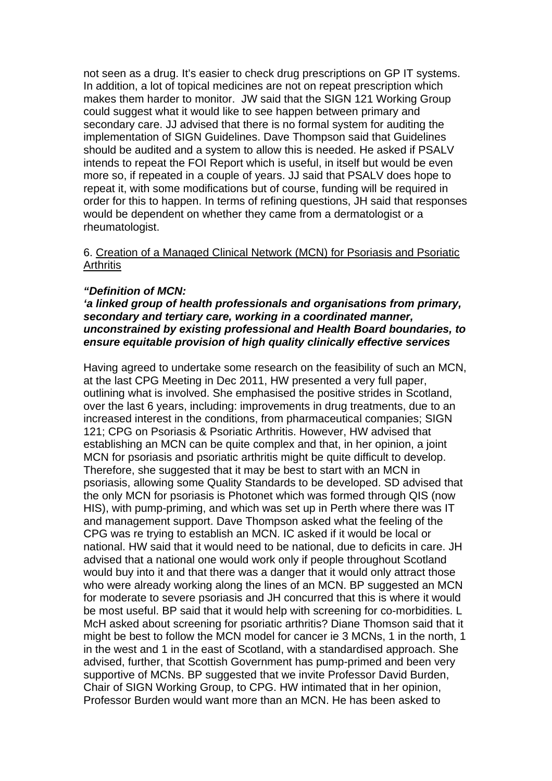not seen as a drug. It's easier to check drug prescriptions on GP IT systems. In addition, a lot of topical medicines are not on repeat prescription which makes them harder to monitor. JW said that the SIGN 121 Working Group could suggest what it would like to see happen between primary and secondary care. JJ advised that there is no formal system for auditing the implementation of SIGN Guidelines. Dave Thompson said that Guidelines should be audited and a system to allow this is needed. He asked if PSALV intends to repeat the FOI Report which is useful, in itself but would be even more so, if repeated in a couple of years. JJ said that PSALV does hope to repeat it, with some modifications but of course, funding will be required in order for this to happen. In terms of refining questions, JH said that responses would be dependent on whether they came from a dermatologist or a rheumatologist.

#### 6. Creation of a Managed Clinical Network (MCN) for Psoriasis and Psoriatic **Arthritis**

#### *"Definition of MCN:*

### *'a linked group of health professionals and organisations from primary, secondary and tertiary care, working in a coordinated manner, unconstrained by existing professional and Health Board boundaries, to ensure equitable provision of high quality clinically effective services*

Having agreed to undertake some research on the feasibility of such an MCN, at the last CPG Meeting in Dec 2011, HW presented a very full paper, outlining what is involved. She emphasised the positive strides in Scotland, over the last 6 years, including: improvements in drug treatments, due to an increased interest in the conditions, from pharmaceutical companies; SIGN 121; CPG on Psoriasis & Psoriatic Arthritis. However, HW advised that establishing an MCN can be quite complex and that, in her opinion, a joint MCN for psoriasis and psoriatic arthritis might be quite difficult to develop. Therefore, she suggested that it may be best to start with an MCN in psoriasis, allowing some Quality Standards to be developed. SD advised that the only MCN for psoriasis is Photonet which was formed through QIS (now HIS), with pump-priming, and which was set up in Perth where there was IT and management support. Dave Thompson asked what the feeling of the CPG was re trying to establish an MCN. IC asked if it would be local or national. HW said that it would need to be national, due to deficits in care. JH advised that a national one would work only if people throughout Scotland would buy into it and that there was a danger that it would only attract those who were already working along the lines of an MCN. BP suggested an MCN for moderate to severe psoriasis and JH concurred that this is where it would be most useful. BP said that it would help with screening for co-morbidities. L McH asked about screening for psoriatic arthritis? Diane Thomson said that it might be best to follow the MCN model for cancer ie 3 MCNs, 1 in the north, 1 in the west and 1 in the east of Scotland, with a standardised approach. She advised, further, that Scottish Government has pump-primed and been very supportive of MCNs. BP suggested that we invite Professor David Burden, Chair of SIGN Working Group, to CPG. HW intimated that in her opinion, Professor Burden would want more than an MCN. He has been asked to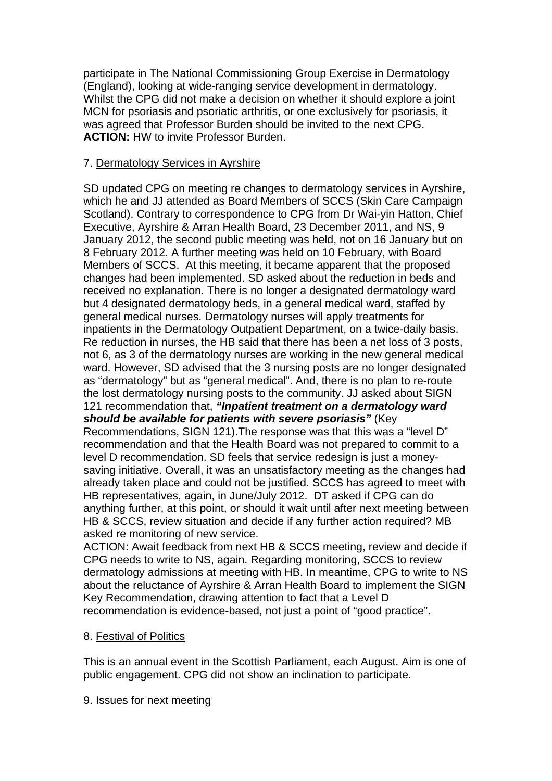participate in The National Commissioning Group Exercise in Dermatology (England), looking at wide-ranging service development in dermatology. Whilst the CPG did not make a decision on whether it should explore a joint MCN for psoriasis and psoriatic arthritis, or one exclusively for psoriasis, it was agreed that Professor Burden should be invited to the next CPG. **ACTION:** HW to invite Professor Burden.

# 7. Dermatology Services in Ayrshire

SD updated CPG on meeting re changes to dermatology services in Ayrshire, which he and JJ attended as Board Members of SCCS (Skin Care Campaign Scotland). Contrary to correspondence to CPG from Dr Wai-yin Hatton, Chief Executive, Ayrshire & Arran Health Board, 23 December 2011, and NS, 9 January 2012, the second public meeting was held, not on 16 January but on 8 February 2012. A further meeting was held on 10 February, with Board Members of SCCS. At this meeting, it became apparent that the proposed changes had been implemented. SD asked about the reduction in beds and received no explanation. There is no longer a designated dermatology ward but 4 designated dermatology beds, in a general medical ward, staffed by general medical nurses. Dermatology nurses will apply treatments for inpatients in the Dermatology Outpatient Department, on a twice-daily basis. Re reduction in nurses, the HB said that there has been a net loss of 3 posts, not 6, as 3 of the dermatology nurses are working in the new general medical ward. However, SD advised that the 3 nursing posts are no longer designated as "dermatology" but as "general medical". And, there is no plan to re-route the lost dermatology nursing posts to the community. JJ asked about SIGN 121 recommendation that, *"Inpatient treatment on a dermatology ward should be available for patients with severe psoriasis"* (Key Recommendations, SIGN 121).The response was that this was a "level D" recommendation and that the Health Board was not prepared to commit to a level D recommendation. SD feels that service redesign is just a moneysaving initiative. Overall, it was an unsatisfactory meeting as the changes had already taken place and could not be justified. SCCS has agreed to meet with HB representatives, again, in June/July 2012. DT asked if CPG can do

anything further, at this point, or should it wait until after next meeting between HB & SCCS, review situation and decide if any further action required? MB asked re monitoring of new service.

ACTION: Await feedback from next HB & SCCS meeting, review and decide if CPG needs to write to NS, again. Regarding monitoring, SCCS to review dermatology admissions at meeting with HB. In meantime, CPG to write to NS about the reluctance of Ayrshire & Arran Health Board to implement the SIGN Key Recommendation, drawing attention to fact that a Level D recommendation is evidence-based, not just a point of "good practice".

## 8. Festival of Politics

This is an annual event in the Scottish Parliament, each August. Aim is one of public engagement. CPG did not show an inclination to participate.

## 9. Issues for next meeting